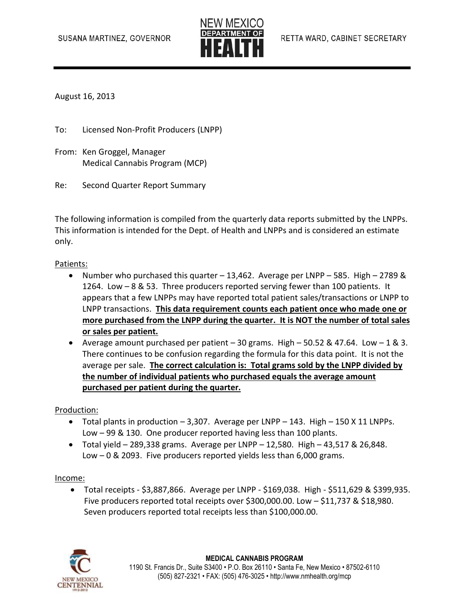

August 16, 2013

To: Licensed Non-Profit Producers (LNPP)

- From: Ken Groggel, Manager Medical Cannabis Program (MCP)
- Re: Second Quarter Report Summary

The following information is compiled from the quarterly data reports submitted by the LNPPs. This information is intended for the Dept. of Health and LNPPs and is considered an estimate only.

#### Patients:

- Number who purchased this quarter 13,462. Average per LNPP 585. High 2789 & 1264. Low – 8 & 53. Three producers reported serving fewer than 100 patients. It appears that a few LNPPs may have reported total patient sales/transactions or LNPP to LNPP transactions. **This data requirement counts each patient once who made one or more purchased from the LNPP during the quarter. It is NOT the number of total sales or sales per patient.**
- Average amount purchased per patient  $-30$  grams. High  $-50.52$  & 47.64. Low  $-1$  & 3. There continues to be confusion regarding the formula for this data point. It is not the average per sale. **The correct calculation is: Total grams sold by the LNPP divided by the number of individual patients who purchased equals the average amount purchased per patient during the quarter.**

Production:

- $\bullet$  Total plants in production  $-3,307$ . Average per LNPP  $-143$ . High  $-150$  X 11 LNPPs. Low – 99 & 130. One producer reported having less than 100 plants.
- $\bullet$  Total yield 289,338 grams. Average per LNPP 12,580. High 43,517 & 26,848. Low – 0 & 2093. Five producers reported yields less than 6,000 grams.

#### Income:

 Total receipts - \$3,887,866. Average per LNPP - \$169,038. High - \$511,629 & \$399,935. Five producers reported total receipts over \$300,000.00. Low  $-$  \$11,737 & \$18,980. Seven producers reported total receipts less than \$100,000.00.